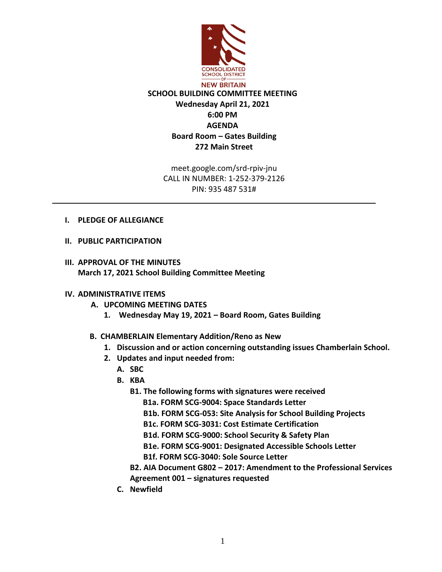

meet.google.com/srd-rpiv-jnu CALL IN NUMBER: 1-252-379-2126 PIN: 935 487 531#

- **I. PLEDGE OF ALLEGIANCE**
- **II. PUBLIC PARTICIPATION**
- **III. APPROVAL OF THE MINUTES March 17, 2021 School Building Committee Meeting**

## **IV. ADMINISTRATIVE ITEMS**

## **A. UPCOMING MEETING DATES**

- **1. Wednesday May 19, 2021 – Board Room, Gates Building**
- **B. CHAMBERLAIN Elementary Addition/Reno as New**
	- **1. Discussion and or action concerning outstanding issues Chamberlain School.**
	- **2. Updates and input needed from:**
		- **A. SBC**
		- **B. KBA**
			- **B1. The following forms with signatures were received** 
				- **B1a. FORM SCG-9004: Space Standards Letter**
				- **B1b. FORM SCG-053: Site Analysis for School Building Projects**
				- **B1c. FORM SCG-3031: Cost Estimate Certification**
				- **B1d. FORM SCG-9000: School Security & Safety Plan**
				- **B1e. FORM SCG-9001: Designated Accessible Schools Letter**
				- **B1f. FORM SCG-3040: Sole Source Letter**
			- **B2. AIA Document G802 – 2017: Amendment to the Professional Services Agreement 001 – signatures requested**
		- **C. Newfield**